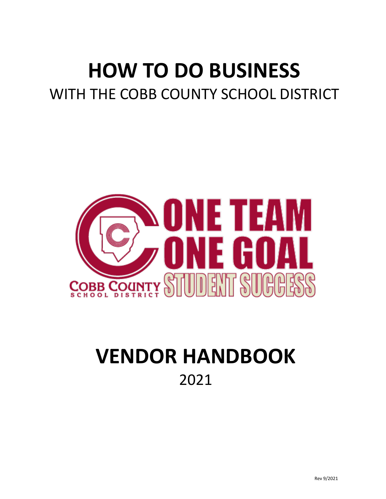# **HOW TO DO BUSINESS** WITH THE COBB COUNTY SCHOOL DISTRICT



# **VENDOR HANDBOOK** 2021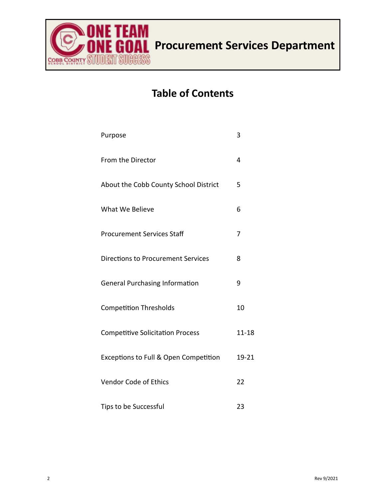

# **Table of Contents**

| Purpose                                   | 3         |
|-------------------------------------------|-----------|
| From the Director                         | 4         |
| About the Cobb County School District     | 5         |
| What We Believe                           | 6         |
| <b>Procurement Services Staff</b>         | 7         |
| <b>Directions to Procurement Services</b> | 8         |
| <b>General Purchasing Information</b>     | 9         |
| <b>Competition Thresholds</b>             | 10        |
| <b>Competitive Solicitation Process</b>   | $11 - 18$ |
| Exceptions to Full & Open Competition     | 19-21     |
| <b>Vendor Code of Ethics</b>              | 22        |
| Tips to be Successful                     | 23        |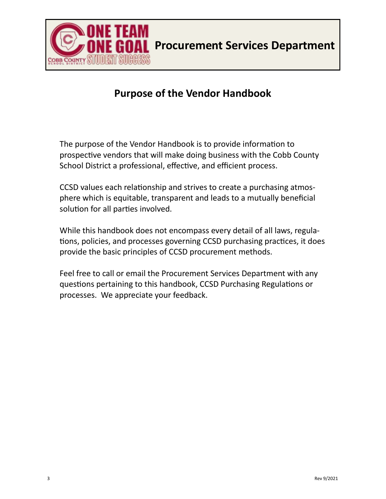

**All Procurement Services Department** 

### **Purpose of the Vendor Handbook**

The purpose of the Vendor Handbook is to provide information to prospective vendors that will make doing business with the Cobb County School District a professional, effective, and efficient process.

CCSD values each relationship and strives to create a purchasing atmosphere which is equitable, transparent and leads to a mutually beneficial solution for all parties involved.

While this handbook does not encompass every detail of all laws, regulations, policies, and processes governing CCSD purchasing practices, it does provide the basic principles of CCSD procurement methods.

Feel free to call or email the Procurement Services Department with any questions pertaining to this handbook, CCSD Purchasing Regulations or processes. We appreciate your feedback.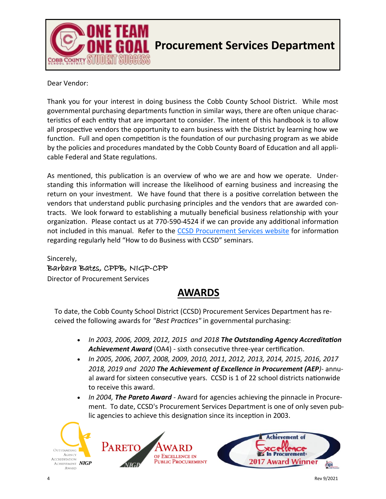

Dear Vendor:

Thank you for your interest in doing business the Cobb County School District. While most governmental purchasing departments function in similar ways, there are often unique characteristics of each entity that are important to consider. The intent of this handbook is to allow all prospective vendors the opportunity to earn business with the District by learning how we function. Full and open competition is the foundation of our purchasing program as we abide by the policies and procedures mandated by the Cobb County Board of Education and all applicable Federal and State regulations.

As mentioned, this publication is an overview of who we are and how we operate. Understanding this information will increase the likelihood of earning business and increasing the return on your investment. We have found that there is a positive correlation between the vendors that understand public purchasing principles and the vendors that are awarded contracts. We look forward to establishing a mutually beneficial business relationship with your organization. Please contact us at 770-590-4524 if we can provide any additional information not included in this manual. Refer to the [CCSD Procurement Services website](https://www.cobbk12.org/page/20330/procurement-services) for information regarding regularly held "How to do Business with CCSD" seminars.

Sincerely, Barbara Bates, CPPB, NIGP-CPP Director of Procurement Services

### **AWARDS**

To date, the Cobb County School District (CCSD) Procurement Services Department has received the following awards for *"Best Practices"* in governmental purchasing:

- *In 2003, 2006, 2009, 2012, 2015 and 2018 The Outstanding Agency Accreditation Achievement Award* (OA4) - sixth consecutive three-year certification.
- *In 2005, 2006, 2007, 2008, 2009, 2010, 2011, 2012, 2013, 2014, 2015, 2016, 2017 2018, 2019 and 2020 The Achievement of Excellence in Procurement (AEP)*- annual award for sixteen consecutive years. CCSD is 1 of 22 school districts nationwide to receive this award.
- *In 2004, The Pareto Award* Award for agencies achieving the pinnacle in Procurement. To date, CCSD's Procurement Services Department is one of only seven public agencies to achieve this designation since its inception in 2003.





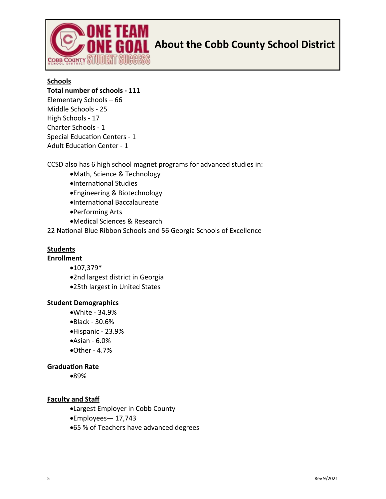

# **About the Cobb County School District**

#### **Schools**

#### **Total number of schools - 111**

[Elementary Schools](http://www.cobbk12.org/schools/elementary_schools.aspx) – 66 [Middle Schools](http://www.cobbk12.org/schools/middle_schools.aspx) - 25 [High Schools](http://www.cobbk12.org/schools/high_schools.aspx) - 17 [Charter Schools](http://www.cobbk12.org/schools/charter_schools.aspx) - 1 [Special Education Centers](http://www.cobbk12.org/schools/special_schools.aspx) - 1 [Adult Education Center](http://www.cobbk12.org/Adulted/) - 1

CCSD also has 6 [high school magnet programs](http://www.cobbk12.org/schools/magnet/) for advanced studies in:

- •Math, Science & Technology
- •International Studies
- •Engineering & Biotechnology
- •International Baccalaureate
- •Performing Arts
- •Medical Sciences & Research
- 22 [National Blue Ribbon Schools](http://www.cobbk12.org/aboutccsd/awards/) and 56 [Georgia Schools of Excellence](http://www.cobbk12.org/aboutccsd/awards/)

#### **Students**

#### **Enrollment**

- •107,379\*
- •2nd largest district in Georgia
- •25th largest in United States

#### **Student Demographics**

- •White 34.9%
- •Black 30.6%
- •Hispanic 23.9%
- •Asian 6.0%
- •Other 4.7%

#### **Graduation Rate**

•89%

#### **Faculty and Staff**

- •Largest Employer in Cobb County
- •Employees— 17,743
- •65 % of Teachers have advanced degrees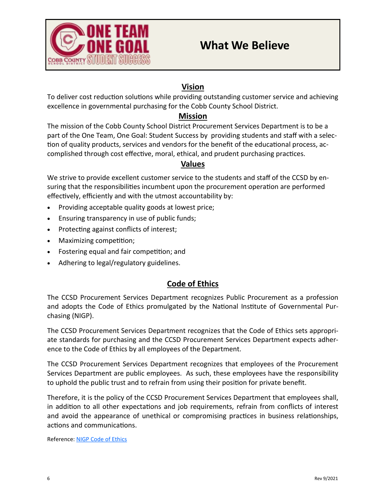

#### **Vision**

To deliver cost reduction solutions while providing outstanding customer service and achieving excellence in governmental purchasing for the Cobb County School District.

#### **Mission**

The mission of the Cobb County School District Procurement Services Department is to be a part of the One Team, One Goal: Student Success by providing students and staff with a selection of quality products, services and vendors for the benefit of the educational process, accomplished through cost effective, moral, ethical, and prudent purchasing practices.

#### **Values**

We strive to provide excellent customer service to the students and staff of the CCSD by ensuring that the responsibilities incumbent upon the procurement operation are performed effectively, efficiently and with the utmost accountability by:

- Providing acceptable quality goods at lowest price;
- Ensuring transparency in use of public funds;
- Protecting against conflicts of interest;
- Maximizing competition;
- Fostering equal and fair competition; and
- Adhering to legal/regulatory guidelines.

#### **Code of Ethics**

The CCSD Procurement Services Department recognizes Public Procurement as a profession and adopts the Code of Ethics promulgated by the National Institute of Governmental Purchasing (NIGP).

The CCSD Procurement Services Department recognizes that the Code of Ethics sets appropriate standards for purchasing and the CCSD Procurement Services Department expects adherence to the Code of Ethics by all employees of the Department.

The CCSD Procurement Services Department recognizes that employees of the Procurement Services Department are public employees. As such, these employees have the responsibility to uphold the public trust and to refrain from using their position for private benefit.

Therefore, it is the policy of the CCSD Procurement Services Department that employees shall, in addition to all other expectations and job requirements, refrain from conflicts of interest and avoid the appearance of unethical or compromising practices in business relationships, actions and communications.

Reference: [NIGP Code of Ethics](http://www.nigp.org/eweb/StartPage.aspx?Site=NIGP&webcode=abt-codeofethics)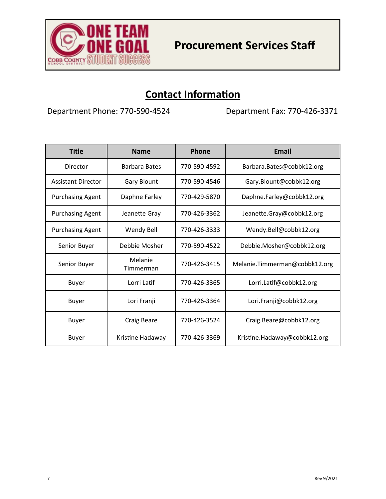

### **Contact Information**

Department Phone: 770-590-4524 Department Fax: 770-426-3371

| <b>Title</b>              | <b>Name</b>          | Phone        | Email                         |
|---------------------------|----------------------|--------------|-------------------------------|
| Director                  | <b>Barbara Bates</b> | 770-590-4592 | Barbara.Bates@cobbk12.org     |
| <b>Assistant Director</b> | <b>Gary Blount</b>   | 770-590-4546 | Gary.Blount@cobbk12.org       |
| <b>Purchasing Agent</b>   | Daphne Farley        | 770-429-5870 | Daphne.Farley@cobbk12.org     |
| <b>Purchasing Agent</b>   | Jeanette Gray        | 770-426-3362 | Jeanette.Gray@cobbk12.org     |
| <b>Purchasing Agent</b>   | Wendy Bell           | 770-426-3333 | Wendy.Bell@cobbk12.org        |
| Senior Buyer              | Debbie Mosher        | 770-590-4522 | Debbie.Mosher@cobbk12.org     |
| Senior Buyer              | Melanie<br>Timmerman | 770-426-3415 | Melanie.Timmerman@cobbk12.org |
| <b>Buyer</b>              | Lorri Latif          | 770-426-3365 | Lorri.Latif@cobbk12.org       |
| Buyer                     | Lori Franji          | 770-426-3364 | Lori.Franji@cobbk12.org       |
| Buyer                     | <b>Craig Beare</b>   | 770-426-3524 | Craig.Beare@cobbk12.org       |
| Buyer                     | Kristine Hadaway     | 770-426-3369 | Kristine.Hadaway@cobbk12.org  |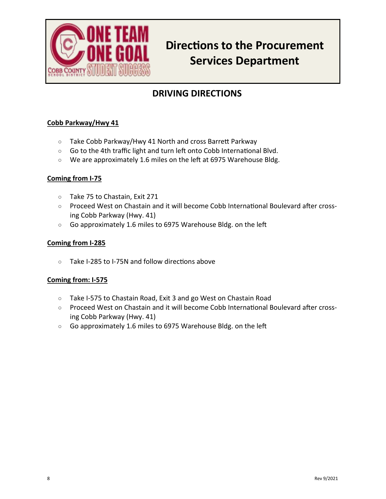

# **Directions to the Procurement Services Department**

### **DRIVING DIRECTIONS**

#### **Cobb Parkway/Hwy 41**

- Take Cobb Parkway/Hwy 41 North and cross Barrett Parkway
- Go to the 4th traffic light and turn left onto Cobb International Blvd.
- We are approximately 1.6 miles on the left at 6975 Warehouse Bldg.

#### **Coming from I-75**

- Take 75 to Chastain, Exit 271
- Proceed West on Chastain and it will become Cobb International Boulevard after crossing Cobb Parkway (Hwy. 41)
- Go approximately 1.6 miles to 6975 Warehouse Bldg. on the left

#### **Coming from I-285**

 $\circ$  Take I-285 to I-75N and follow directions above

#### **Coming from: I-575**

- Take I-575 to Chastain Road, Exit 3 and go West on Chastain Road
- Proceed West on Chastain and it will become Cobb International Boulevard after crossing Cobb Parkway (Hwy. 41)
- Go approximately 1.6 miles to 6975 Warehouse Bldg. on the left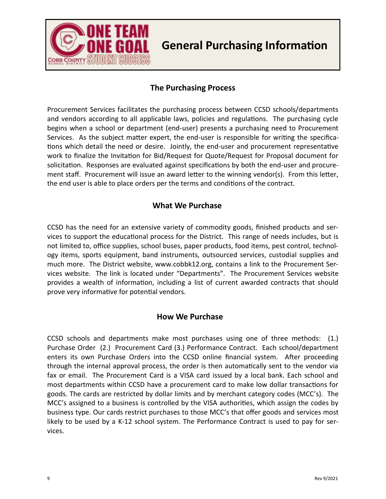

# **General Purchasing Information**

#### **The Purchasing Process**

Procurement Services facilitates the purchasing process between CCSD schools/departments and vendors according to all applicable laws, policies and regulations. The purchasing cycle begins when a school or department (end-user) presents a purchasing need to Procurement Services. As the subject matter expert, the end-user is responsible for writing the specifications which detail the need or desire. Jointly, the end-user and procurement representative work to finalize the Invitation for Bid/Request for Quote/Request for Proposal document for solicitation. Responses are evaluated against specifications by both the end-user and procurement staff. Procurement will issue an award letter to the winning vendor(s). From this letter, the end user is able to place orders per the terms and conditions of the contract.

#### **What We Purchase**

CCSD has the need for an extensive variety of commodity goods, finished products and services to support the educational process for the District. This range of needs includes, but is not limited to, office supplies, school buses, paper products, food items, pest control, technology items, sports equipment, band instruments, outsourced services, custodial supplies and much more. The District website, www.cobbk12.org, contains a link to the Procurement Services website. The link is located under "Departments". The Procurement Services website provides a wealth of information, including a list of current awarded contracts that should prove very informative for potential vendors.

#### **How We Purchase**

CCSD schools and departments make most purchases using one of three methods: (1.) Purchase Order (2.) Procurement Card (3.) Performance Contract. Each school/department enters its own Purchase Orders into the CCSD online financial system. After proceeding through the internal approval process, the order is then automatically sent to the vendor via fax or email. The Procurement Card is a VISA card issued by a local bank. Each school and most departments within CCSD have a procurement card to make low dollar transactions for goods. The cards are restricted by dollar limits and by merchant category codes (MCC's). The MCC's assigned to a business is controlled by the VISA authorities, which assign the codes by business type. Our cards restrict purchases to those MCC's that offer goods and services most likely to be used by a K-12 school system. The Performance Contract is used to pay for services.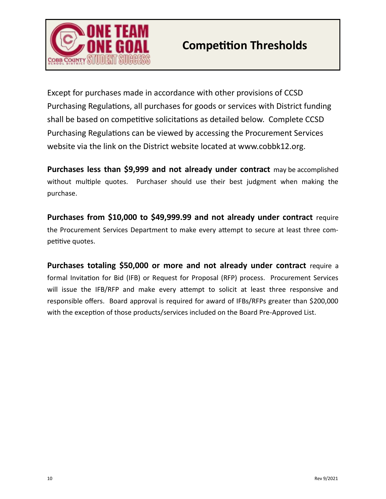

Except for purchases made in accordance with other provisions of CCSD Purchasing Regulations, all purchases for goods or services with District funding shall be based on competitive solicitations as detailed below. Complete CCSD Purchasing Regulations can be viewed by accessing the Procurement Services website via the link on the District website located at www.cobbk12.org.

**Purchases less than \$9,999 and not already under contract** may be accomplished without multiple quotes. Purchaser should use their best judgment when making the purchase.

**Purchases from \$10,000 to \$49,999.99 and not already under contract** require the Procurement Services Department to make every attempt to secure at least three competitive quotes.

**Purchases totaling \$50,000 or more and not already under contract** require a formal Invitation for Bid (IFB) or Request for Proposal (RFP) process. Procurement Services will issue the IFB/RFP and make every attempt to solicit at least three responsive and responsible offers. Board approval is required for award of IFBs/RFPs greater than \$200,000 with the exception of those products/services included on the Board Pre-Approved List.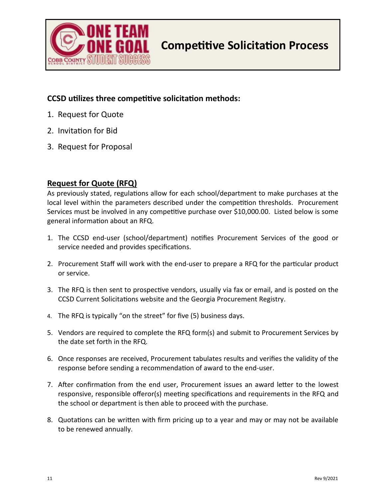

#### **CCSD utilizes three competitive solicitation methods:**

- 1. Request for Quote
- 2. Invitation for Bid
- 3. Request for Proposal

#### **Request for Quote (RFQ)**

As previously stated, regulations allow for each school/department to make purchases at the local level within the parameters described under the competition thresholds. Procurement Services must be involved in any competitive purchase over \$10,000.00. Listed below is some general information about an RFQ.

- 1. The CCSD end-user (school/department) notifies Procurement Services of the good or service needed and provides specifications.
- 2. Procurement Staff will work with the end-user to prepare a RFQ for the particular product or service.
- 3. The RFQ is then sent to prospective vendors, usually via fax or email, and is posted on the CCSD Current Solicitations website and the Georgia Procurement Registry.
- 4. The RFQ is typically "on the street" for five (5) business days.
- 5. Vendors are required to complete the RFQ form(s) and submit to Procurement Services by the date set forth in the RFQ.
- 6. Once responses are received, Procurement tabulates results and verifies the validity of the response before sending a recommendation of award to the end-user.
- 7. After confirmation from the end user, Procurement issues an award letter to the lowest responsive, responsible offeror(s) meeting specifications and requirements in the RFQ and the school or department is then able to proceed with the purchase.
- 8. Quotations can be written with firm pricing up to a year and may or may not be available to be renewed annually.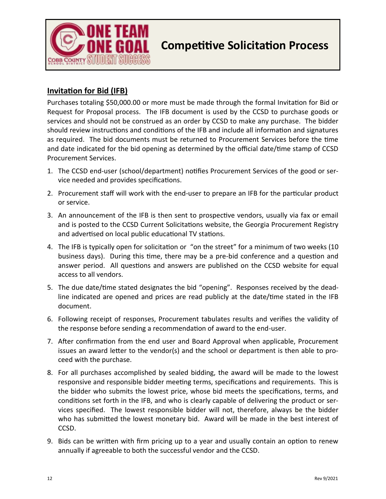

# **Competitive Solicitation Process**

#### **Invitation for Bid (IFB)**

Purchases totaling \$50,000.00 or more must be made through the formal Invitation for Bid or Request for Proposal process. The IFB document is used by the CCSD to purchase goods or services and should not be construed as an order by CCSD to make any purchase. The bidder should review instructions and conditions of the IFB and include all information and signatures as required. The bid documents must be returned to Procurement Services before the time and date indicated for the bid opening as determined by the official date/time stamp of CCSD Procurement Services.

- 1. The CCSD end-user (school/department) notifies Procurement Services of the good or service needed and provides specifications.
- 2. Procurement staff will work with the end-user to prepare an IFB for the particular product or service.
- 3. An announcement of the IFB is then sent to prospective vendors, usually via fax or email and is posted to the CCSD Current Solicitations website, the Georgia Procurement Registry and advertised on local public educational TV stations.
- 4. The IFB is typically open for solicitation or "on the street" for a minimum of two weeks (10 business days). During this time, there may be a pre-bid conference and a question and answer period. All questions and answers are published on the CCSD website for equal access to all vendors.
- 5. The due date/time stated designates the bid "opening". Responses received by the deadline indicated are opened and prices are read publicly at the date/time stated in the IFB document.
- 6. Following receipt of responses, Procurement tabulates results and verifies the validity of the response before sending a recommendation of award to the end-user.
- 7. After confirmation from the end user and Board Approval when applicable, Procurement issues an award letter to the vendor(s) and the school or department is then able to proceed with the purchase.
- 8. For all purchases accomplished by sealed bidding, the award will be made to the lowest responsive and responsible bidder meeting terms, specifications and requirements. This is the bidder who submits the lowest price, whose bid meets the specifications, terms, and conditions set forth in the IFB, and who is clearly capable of delivering the product or services specified. The lowest responsible bidder will not, therefore, always be the bidder who has submitted the lowest monetary bid. Award will be made in the best interest of CCSD.
- 9. Bids can be written with firm pricing up to a year and usually contain an option to renew annually if agreeable to both the successful vendor and the CCSD.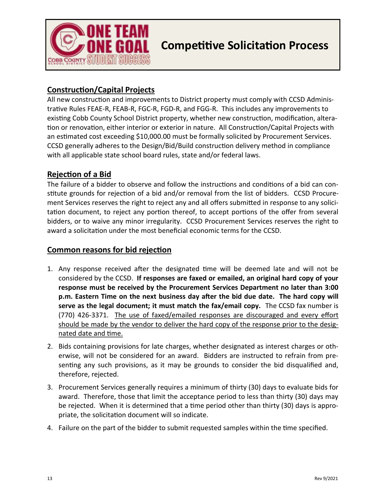

#### **Construction/Capital Projects**

All new construction and improvements to District property must comply with CCSD Administrative Rules FEAE-R, FEAB-R, FGC-R, FGD-R, and FGG-R. This includes any improvements to existing Cobb County School District property, whether new construction, modification, alteration or renovation, either interior or exterior in nature. All Construction/Capital Projects with an estimated cost exceeding \$10,000.00 must be formally solicited by Procurement Services. CCSD generally adheres to the Design/Bid/Build construction delivery method in compliance with all applicable state school board rules, state and/or federal laws.

#### **Rejection of a Bid**

The failure of a bidder to observe and follow the instructions and conditions of a bid can constitute grounds for rejection of a bid and/or removal from the list of bidders. CCSD Procurement Services reserves the right to reject any and all offers submitted in response to any solicitation document, to reject any portion thereof, to accept portions of the offer from several bidders, or to waive any minor irregularity. CCSD Procurement Services reserves the right to award a solicitation under the most beneficial economic terms for the CCSD.

#### **Common reasons for bid rejection**

- 1. Any response received after the designated time will be deemed late and will not be considered by the CCSD. **If responses are faxed or emailed, an original hard copy of your response must be received by the Procurement Services Department no later than 3:00 p.m. Eastern Time on the next business day after the bid due date. The hard copy will serve as the legal document; it must match the fax/email copy.** The CCSD fax number is (770) 426-3371. The use of faxed/emailed responses are discouraged and every effort should be made by the vendor to deliver the hard copy of the response prior to the designated date and time.
- 2. Bids containing provisions for late charges, whether designated as interest charges or otherwise, will not be considered for an award. Bidders are instructed to refrain from presenting any such provisions, as it may be grounds to consider the bid disqualified and, therefore, rejected.
- 3. Procurement Services generally requires a minimum of thirty (30) days to evaluate bids for award. Therefore, those that limit the acceptance period to less than thirty (30) days may be rejected. When it is determined that a time period other than thirty (30) days is appropriate, the solicitation document will so indicate.
- 4. Failure on the part of the bidder to submit requested samples within the time specified.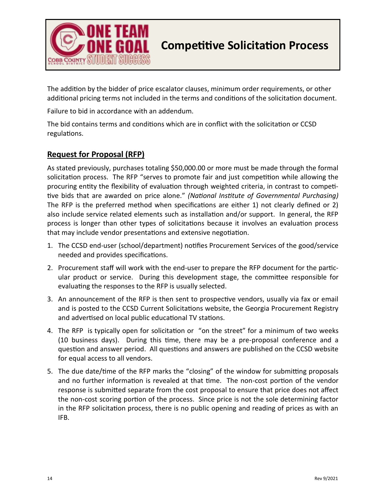

# **Competitive Solicitation Process**

The addition by the bidder of price escalator clauses, minimum order requirements, or other additional pricing terms not included in the terms and conditions of the solicitation document.

Failure to bid in accordance with an addendum.

The bid contains terms and conditions which are in conflict with the solicitation or CCSD regulations.

#### **Request for Proposal (RFP)**

As stated previously, purchases totaling \$50,000.00 or more must be made through the formal solicitation process. The RFP "serves to promote fair and just competition while allowing the procuring entity the flexibility of evaluation through weighted criteria, in contrast to competitive bids that are awarded on price alone." *(National Institute of Governmental Purchasing)*  The RFP is the preferred method when specifications are either 1) not clearly defined or 2) also include service related elements such as installation and/or support. In general, the RFP process is longer than other types of solicitations because it involves an evaluation process that may include vendor presentations and extensive negotiation.

- 1. The CCSD end-user (school/department) notifies Procurement Services of the good/service needed and provides specifications.
- 2. Procurement staff will work with the end-user to prepare the RFP document for the particular product or service. During this development stage, the committee responsible for evaluating the responses to the RFP is usually selected.
- 3. An announcement of the RFP is then sent to prospective vendors, usually via fax or email and is posted to the CCSD Current Solicitations website, the Georgia Procurement Registry and advertised on local public educational TV stations.
- 4. The RFP is typically open for solicitation or "on the street" for a minimum of two weeks (10 business days). During this time, there may be a pre-proposal conference and a question and answer period. All questions and answers are published on the CCSD website for equal access to all vendors.
- 5. The due date/time of the RFP marks the "closing" of the window for submitting proposals and no further information is revealed at that time. The non-cost portion of the vendor response is submitted separate from the cost proposal to ensure that price does not affect the non-cost scoring portion of the process. Since price is not the sole determining factor in the RFP solicitation process, there is no public opening and reading of prices as with an IFB.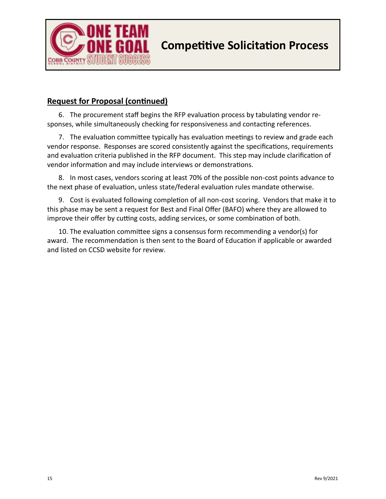

#### **Request for Proposal (continued)**

6. The procurement staff begins the RFP evaluation process by tabulating vendor responses, while simultaneously checking for responsiveness and contacting references.

7. The evaluation committee typically has evaluation meetings to review and grade each vendor response. Responses are scored consistently against the specifications, requirements and evaluation criteria published in the RFP document. This step may include clarification of vendor information and may include interviews or demonstrations.

8. In most cases, vendors scoring at least 70% of the possible non-cost points advance to the next phase of evaluation, unless state/federal evaluation rules mandate otherwise.

9. Cost is evaluated following completion of all non-cost scoring. Vendors that make it to this phase may be sent a request for Best and Final Offer (BAFO) where they are allowed to improve their offer by cutting costs, adding services, or some combination of both.

10. The evaluation committee signs a consensus form recommending a vendor(s) for award. The recommendation is then sent to the Board of Education if applicable or awarded and listed on CCSD website for review.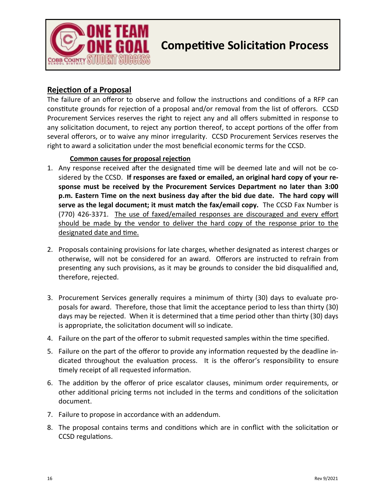

# **Competitive Solicitation Process**

#### **Rejection of a Proposal**

The failure of an offeror to observe and follow the instructions and conditions of a RFP can constitute grounds for rejection of a proposal and/or removal from the list of offerors. CCSD Procurement Services reserves the right to reject any and all offers submitted in response to any solicitation document, to reject any portion thereof, to accept portions of the offer from several offerors, or to waive any minor irregularity. CCSD Procurement Services reserves the right to award a solicitation under the most beneficial economic terms for the CCSD.

#### **Common causes for proposal rejection**

- 1. Any response received after the designated time will be deemed late and will not be cosidered by the CCSD. **If responses are faxed or emailed, an original hard copy of your response must be received by the Procurement Services Department no later than 3:00 p.m. Eastern Time on the next business day after the bid due date. The hard copy will serve as the legal document; it must match the fax/email copy.** The CCSD Fax Number is (770) 426-3371. The use of faxed/emailed responses are discouraged and every effort should be made by the vendor to deliver the hard copy of the response prior to the designated date and time.
- 2. Proposals containing provisions for late charges, whether designated as interest charges or otherwise, will not be considered for an award. Offerors are instructed to refrain from presenting any such provisions, as it may be grounds to consider the bid disqualified and, therefore, rejected.
- 3. Procurement Services generally requires a minimum of thirty (30) days to evaluate proposals for award. Therefore, those that limit the acceptance period to less than thirty (30) days may be rejected. When it is determined that a time period other than thirty (30) days is appropriate, the solicitation document will so indicate.
- 4. Failure on the part of the offeror to submit requested samples within the time specified.
- 5. Failure on the part of the offeror to provide any information requested by the deadline indicated throughout the evaluation process. It is the offeror's responsibility to ensure timely receipt of all requested information.
- 6. The addition by the offeror of price escalator clauses, minimum order requirements, or other additional pricing terms not included in the terms and conditions of the solicitation document.
- 7. Failure to propose in accordance with an addendum.
- 8. The proposal contains terms and conditions which are in conflict with the solicitation or CCSD regulations.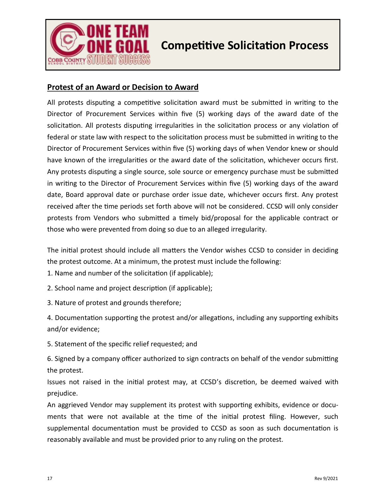

# **Competitive Solicitation Process**

#### **Protest of an Award or Decision to Award**

All protests disputing a competitive solicitation award must be submitted in writing to the Director of Procurement Services within five (5) working days of the award date of the solicitation. All protests disputing irregularities in the solicitation process or any violation of federal or state law with respect to the solicitation process must be submitted in writing to the Director of Procurement Services within five (5) working days of when Vendor knew or should have known of the irregularities or the award date of the solicitation, whichever occurs first. Any protests disputing a single source, sole source or emergency purchase must be submitted in writing to the Director of Procurement Services within five (5) working days of the award date, Board approval date or purchase order issue date, whichever occurs first. Any protest received after the time periods set forth above will not be considered. CCSD will only consider protests from Vendors who submitted a timely bid/proposal for the applicable contract or those who were prevented from doing so due to an alleged irregularity.

The initial protest should include all matters the Vendor wishes CCSD to consider in deciding the protest outcome. At a minimum, the protest must include the following:

1. Name and number of the solicitation (if applicable);

2. School name and project description (if applicable);

3. Nature of protest and grounds therefore;

4. Documentation supporting the protest and/or allegations, including any supporting exhibits and/or evidence;

5. Statement of the specific relief requested; and

6. Signed by a company officer authorized to sign contracts on behalf of the vendor submitting the protest.

Issues not raised in the initial protest may, at CCSD's discretion, be deemed waived with prejudice.

An aggrieved Vendor may supplement its protest with supporting exhibits, evidence or documents that were not available at the time of the initial protest filing. However, such supplemental documentation must be provided to CCSD as soon as such documentation is reasonably available and must be provided prior to any ruling on the protest.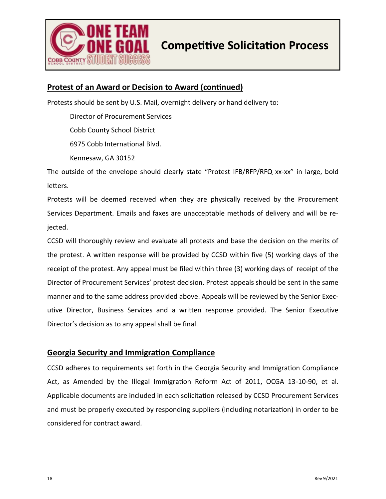

#### **Protest of an Award or Decision to Award (continued)**

Protests should be sent by U.S. Mail, overnight delivery or hand delivery to:

Director of Procurement Services

Cobb County School District

6975 Cobb International Blvd.

Kennesaw, GA 30152

The outside of the envelope should clearly state "Protest IFB/RFP/RFQ xx-xx" in large, bold letters.

Protests will be deemed received when they are physically received by the Procurement Services Department. Emails and faxes are unacceptable methods of delivery and will be rejected.

CCSD will thoroughly review and evaluate all protests and base the decision on the merits of the protest. A written response will be provided by CCSD within five (5) working days of the receipt of the protest. Any appeal must be filed within three (3) working days of receipt of the Director of Procurement Services' protest decision. Protest appeals should be sent in the same manner and to the same address provided above. Appeals will be reviewed by the Senior Executive Director, Business Services and a written response provided. The Senior Executive Director's decision as to any appeal shall be final.

#### **Georgia Security and Immigration Compliance**

CCSD adheres to requirements set forth in the Georgia Security and Immigration Compliance Act, as Amended by the Illegal Immigration Reform Act of 2011, OCGA 13-10-90, et al. Applicable documents are included in each solicitation released by CCSD Procurement Services and must be properly executed by responding suppliers (including notarization) in order to be considered for contract award.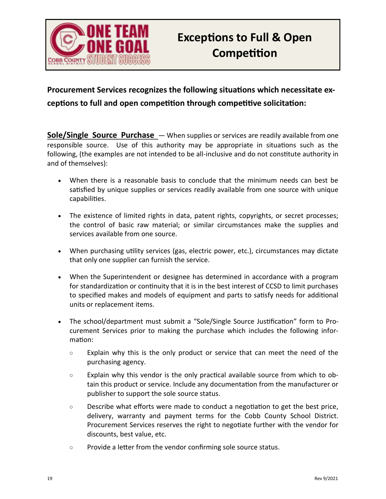

### **Procurement Services recognizes the following situations which necessitate exceptions to full and open competition through competitive solicitation:**

**Sole/Single Source Purchase** — When supplies or services are readily available from one responsible source. Use of this authority may be appropriate in situations such as the following, (the examples are not intended to be all-inclusive and do not constitute authority in and of themselves):

- When there is a reasonable basis to conclude that the minimum needs can best be satisfied by unique supplies or services readily available from one source with unique capabilities.
- The existence of limited rights in data, patent rights, copyrights, or secret processes; the control of basic raw material; or similar circumstances make the supplies and services available from one source.
- When purchasing utility services (gas, electric power, etc.), circumstances may dictate that only one supplier can furnish the service.
- When the Superintendent or designee has determined in accordance with a program for standardization or continuity that it is in the best interest of CCSD to limit purchases to specified makes and models of equipment and parts to satisfy needs for additional units or replacement items.
- The school/department must submit a "Sole/Single Source Justification" form to Procurement Services prior to making the purchase which includes the following information:
	- Explain why this is the only product or service that can meet the need of the purchasing agency.
	- Explain why this vendor is the only practical available source from which to obtain this product or service. Include any documentation from the manufacturer or publisher to support the sole source status.
	- $\circ$  Describe what efforts were made to conduct a negotiation to get the best price, delivery, warranty and payment terms for the Cobb County School District. Procurement Services reserves the right to negotiate further with the vendor for discounts, best value, etc.
	- Provide a letter from the vendor confirming sole source status.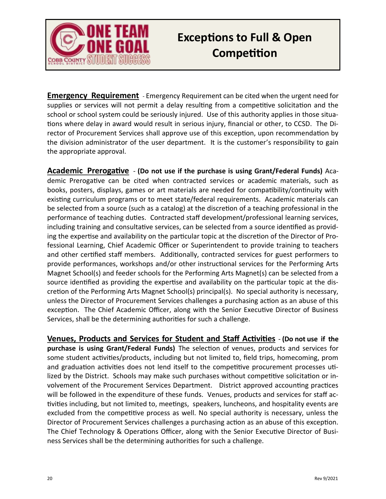

# **Exceptions to Full & Open Competition**

**Emergency Requirement** - Emergency Requirement can be cited when the urgent need for supplies or services will not permit a delay resulting from a competitive solicitation and the school or school system could be seriously injured. Use of this authority applies in those situations where delay in award would result in serious injury, financial or other, to CCSD. The Director of Procurement Services shall approve use of this exception, upon recommendation by the division administrator of the user department. It is the customer's responsibility to gain the appropriate approval.

**Academic Prerogative** - **(Do not use if the purchase is using Grant/Federal Funds)** Academic Prerogative can be cited when contracted services or academic materials, such as books, posters, displays, games or art materials are needed for compatibility/continuity with existing curriculum programs or to meet state/federal requirements. Academic materials can be selected from a source (such as a catalog) at the discretion of a teaching professional in the performance of teaching duties. Contracted staff development/professional learning services, including training and consultative services, can be selected from a source identified as providing the expertise and availability on the particular topic at the discretion of the Director of Professional Learning, Chief Academic Officer or Superintendent to provide training to teachers and other certified staff members. Additionally, contracted services for guest performers to provide performances, workshops and/or other instructional services for the Performing Arts Magnet School(s) and feeder schools for the Performing Arts Magnet(s) can be selected from a source identified as providing the expertise and availability on the particular topic at the discretion of the Performing Arts Magnet School(s) principal(s). No special authority is necessary, unless the Director of Procurement Services challenges a purchasing action as an abuse of this exception. The Chief Academic Officer, along with the Senior Executive Director of Business Services, shall be the determining authorities for such a challenge.

**Venues, Products and Services for Student and Staff Activities** - **(Do not use if the purchase is using Grant/Federal Funds)** The selection of venues, products and services for some student activities/products, including but not limited to, field trips, homecoming, prom and graduation activities does not lend itself to the competitive procurement processes utilized by the District. Schools may make such purchases without competitive solicitation or involvement of the Procurement Services Department. District approved accounting practices will be followed in the expenditure of these funds. Venues, products and services for staff activities including, but not limited to, meetings, speakers, luncheons, and hospitality events are excluded from the competitive process as well. No special authority is necessary, unless the Director of Procurement Services challenges a purchasing action as an abuse of this exception. The Chief Technology & Operations Officer, along with the Senior Executive Director of Business Services shall be the determining authorities for such a challenge.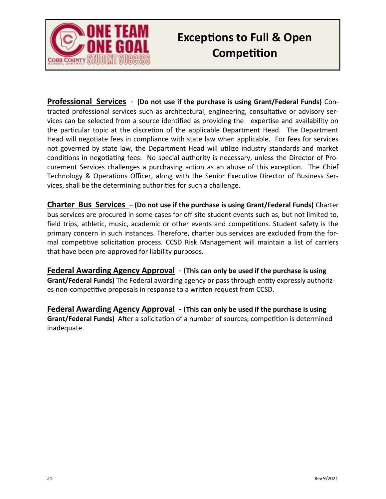

# **Exceptions to Full & Open Competition**

**Professional Services** - **(Do not use if the purchase is using Grant/Federal Funds)** Contracted professional services such as architectural, engineering, consultative or advisory services can be selected from a source identified as providing the expertise and availability on the particular topic at the discretion of the applicable Department Head. The Department Head will negotiate fees in compliance with state law when applicable. For fees for services not governed by state law, the Department Head will utilize industry standards and market conditions in negotiating fees. No special authority is necessary, unless the Director of Procurement Services challenges a purchasing action as an abuse of this exception. The Chief Technology & Operations Officer, along with the Senior Executive Director of Business Services, shall be the determining authorities for such a challenge.

**Charter Bus Services** – **(Do not use if the purchase is using Grant/Federal Funds)** Charter bus services are procured in some cases for off-site student events such as, but not limited to, field trips, athletic, music, academic or other events and competitions. Student safety is the primary concern in such instances. Therefore, charter bus services are excluded from the formal competitive solicitation process. CCSD Risk Management will maintain a list of carriers that have been pre-approved for liability purposes.

**Federal Awarding Agency Approval** - (**This can only be used if the purchase is using Grant/Federal Funds)** The Federal awarding agency or pass through entity expressly authorizes non-competitive proposals in response to a written request from CCSD.

**Federal Awarding Agency Approval** - (**This can only be used if the purchase is using Grant/Federal Funds)** After a solicitation of a number of sources, competition is determined inadequate.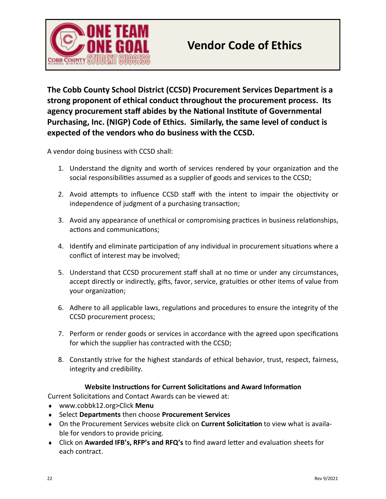

**The Cobb County School District (CCSD) Procurement Services Department is a strong proponent of ethical conduct throughout the procurement process. Its agency procurement staff abides by the National Institute of Governmental Purchasing, Inc. (NIGP) Code of Ethics. Similarly, the same level of conduct is expected of the vendors who do business with the CCSD.** 

A vendor doing business with CCSD shall:

- 1. Understand the dignity and worth of services rendered by your organization and the social responsibilities assumed as a supplier of goods and services to the CCSD;
- 2. Avoid attempts to influence CCSD staff with the intent to impair the objectivity or independence of judgment of a purchasing transaction;
- 3. Avoid any appearance of unethical or compromising practices in business relationships, actions and communications;
- 4. Identify and eliminate participation of any individual in procurement situations where a conflict of interest may be involved;
- 5. Understand that CCSD procurement staff shall at no time or under any circumstances, accept directly or indirectly, gifts, favor, service, gratuities or other items of value from your organization;
- 6. Adhere to all applicable laws, regulations and procedures to ensure the integrity of the CCSD procurement process;
- 7. Perform or render goods or services in accordance with the agreed upon specifications for which the supplier has contracted with the CCSD;
- 8. Constantly strive for the highest standards of ethical behavior, trust, respect, fairness, integrity and credibility.

#### **Website Instructions for Current Solicitations and Award Information**

Current Solicitations and Contact Awards can be viewed at:

- www.cobbk12.org>Click **Menu**
- Select **Departments** then choose **Procurement Services**
- On the Procurement Services website click on **Current Solicitation** to view what is available for vendors to provide pricing.
- Click on **Awarded IFB's, RFP's and RFQ's** to find award letter and evaluation sheets for each contract.